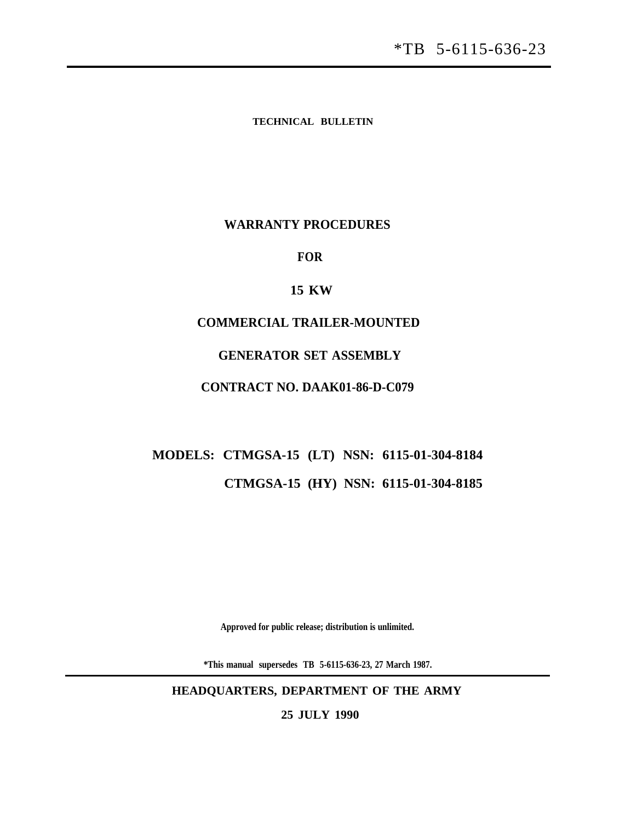**TECHNICAL BULLETIN**

#### **WARRANTY PROCEDURES**

### **FOR**

#### **15 KW**

### **COMMERCIAL TRAILER-MOUNTED**

### **GENERATOR SET ASSEMBLY**

### **CONTRACT NO. DAAK01-86-D-C079**

# **MODELS: CTMGSA-15 (LT) NSN: 6115-01-304-8184 CTMGSA-15 (HY) NSN: 6115-01-304-8185**

**Approved for public release; distribution is unlimited.**

**\*This manual supersedes TB 5-6115-636-23, 27 March 1987.**

**HEADQUARTERS, DEPARTMENT OF THE ARMY**

**25 JULY 1990**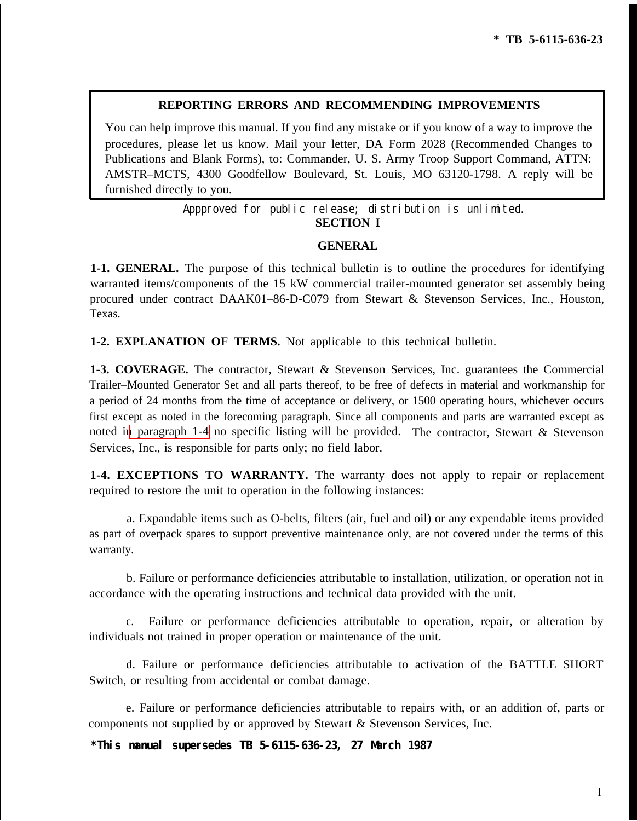#### **REPORTING ERRORS AND RECOMMENDING IMPROVEMENTS**

You can help improve this manual. If you find any mistake or if you know of a way to improve the procedures, please let us know. Mail your letter, DA Form 2028 (Recommended Changes to Publications and Blank Forms), to: Commander, U. S. Army Troop Support Command, ATTN: AMSTR–MCTS, 4300 Goodfellow Boulevard, St. Louis, MO 63120-1798. A reply will be furnished directly to you.

### Appproved for public release; distribution is unlimited. **SECTION I**

#### **GENERAL**

**1-1. GENERAL.** The purpose of this technical bulletin is to outline the procedures for identifying warranted items/components of the 15 kW commercial trailer-mounted generator set assembly being procured under contract DAAK01–86-D-C079 from Stewart & Stevenson Services, Inc., Houston, Texas.

**1-2. EXPLANATION OF TERMS.** Not applicable to this technical bulletin.

**1-3. COVERAGE.** The contractor, Stewart & Stevenson Services, Inc. guarantees the Commercial Trailer–Mounted Generator Set and all parts thereof, to be free of defects in material and workmanship for a period of 24 months from the time of acceptance or delivery, or 1500 operating hours, whichever occurs first except as noted in the forecoming paragraph. Since all components and parts are warranted except as noted in paragraph 1-4 no specific listing will be provided. The contractor, Stewart & Stevenson Services, Inc., is responsible for parts only; no field labor.

**1-4. EXCEPTIONS TO WARRANTY.** The warranty does not apply to repair or replacement required to restore the unit to operation in the following instances:

a. Expandable items such as O-belts, filters (air, fuel and oil) or any expendable items provided as part of overpack spares to support preventive maintenance only, are not covered under the terms of this warranty.

b. Failure or performance deficiencies attributable to installation, utilization, or operation not in accordance with the operating instructions and technical data provided with the unit.

c. Failure or performance deficiencies attributable to operation, repair, or alteration by individuals not trained in proper operation or maintenance of the unit.

d. Failure or performance deficiencies attributable to activation of the BATTLE SHORT Switch, or resulting from accidental or combat damage.

e. Failure or performance deficiencies attributable to repairs with, or an addition of, parts or components not supplied by or approved by Stewart & Stevenson Services, Inc.

**\*This manual supersedes TB 5-6115-636-23, 27 March 1987**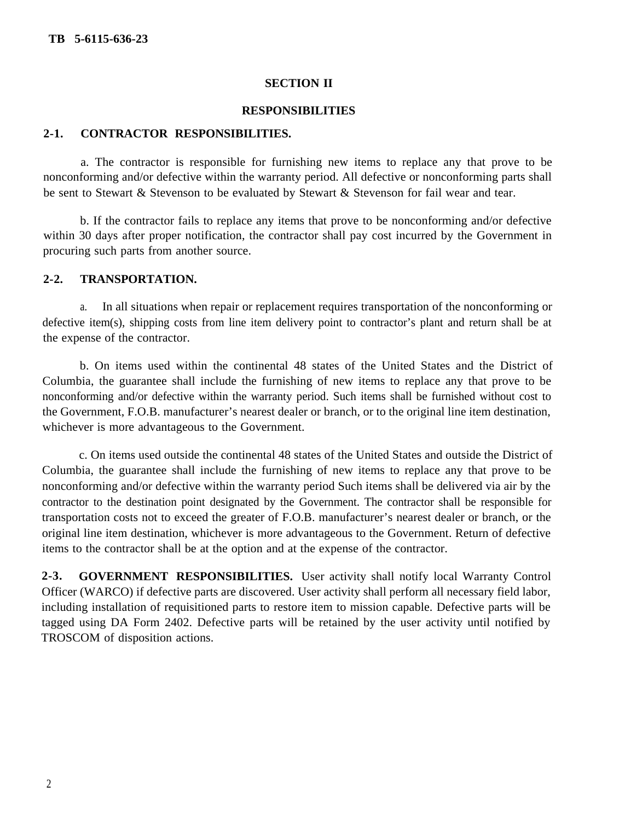#### **SECTION II**

#### **RESPONSIBILITIES**

#### **2-1. CONTRACTOR RESPONSIBILITIES.**

a. The contractor is responsible for furnishing new items to replace any that prove to be nonconforming and/or defective within the warranty period. All defective or nonconforming parts shall be sent to Stewart & Stevenson to be evaluated by Stewart & Stevenson for fail wear and tear.

b. If the contractor fails to replace any items that prove to be nonconforming and/or defective within 30 days after proper notification, the contractor shall pay cost incurred by the Government in procuring such parts from another source.

### **2-2. TRANSPORTATION.**

a. In all situations when repair or replacement requires transportation of the nonconforming or defective item(s), shipping costs from line item delivery point to contractor's plant and return shall be at the expense of the contractor.

b. On items used within the continental 48 states of the United States and the District of Columbia, the guarantee shall include the furnishing of new items to replace any that prove to be nonconforming and/or defective within the warranty period. Such items shall be furnished without cost to the Government, F.O.B. manufacturer's nearest dealer or branch, or to the original line item destination, whichever is more advantageous to the Government.

c. On items used outside the continental 48 states of the United States and outside the District of Columbia, the guarantee shall include the furnishing of new items to replace any that prove to be nonconforming and/or defective within the warranty period Such items shall be delivered via air by the contractor to the destination point designated by the Government. The contractor shall be responsible for transportation costs not to exceed the greater of F.O.B. manufacturer's nearest dealer or branch, or the original line item destination, whichever is more advantageous to the Government. Return of defective items to the contractor shall be at the option and at the expense of the contractor.

**2-3. GOVERNMENT RESPONSIBILITIES.** User activity shall notify local Warranty Control Officer (WARCO) if defective parts are discovered. User activity shall perform all necessary field labor, including installation of requisitioned parts to restore item to mission capable. Defective parts will be tagged using DA Form 2402. Defective parts will be retained by the user activity until notified by TROSCOM of disposition actions.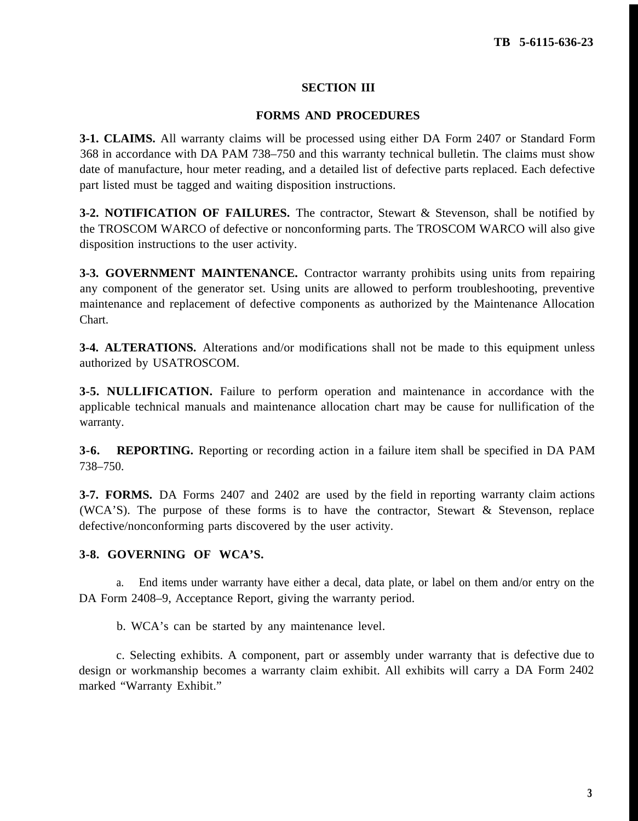#### **SECTION III**

#### **FORMS AND PROCEDURES**

**3-1. CLAIMS.** All warranty claims will be processed using either DA Form 2407 or Standard Form 368 in accordance with DA PAM 738–750 and this warranty technical bulletin. The claims must show date of manufacture, hour meter reading, and a detailed list of defective parts replaced. Each defective part listed must be tagged and waiting disposition instructions.

**3-2. NOTIFICATION OF FAILURES.** The contractor, Stewart & Stevenson, shall be notified by the TROSCOM WARCO of defective or nonconforming parts. The TROSCOM WARCO will also give disposition instructions to the user activity.

**3-3. GOVERNMENT MAINTENANCE.** Contractor warranty prohibits using units from repairing any component of the generator set. Using units are allowed to perform troubleshooting, preventive maintenance and replacement of defective components as authorized by the Maintenance Allocation Chart.

**3-4. ALTERATIONS.** Alterations and/or modifications shall not be made to this equipment unless authorized by USATROSCOM.

**3-5. NULLIFICATION.** Failure to perform operation and maintenance in accordance with the applicable technical manuals and maintenance allocation chart may be cause for nullification of the warranty.

**3-6. REPORTING.** Reporting or recording action in a failure item shall be specified in DA PAM 738–750.

**3-7. FORMS.** DA Forms 2407 and 2402 are used by the field in reporting warranty claim actions (WCA'S). The purpose of these forms is to have the contractor, Stewart & Stevenson, replace defective/nonconforming parts discovered by the user activity.

#### **3-8. GOVERNING OF WCA'S.**

a. End items under warranty have either a decal, data plate, or label on them and/or entry on the DA Form 2408–9, Acceptance Report, giving the warranty period.

b. WCA's can be started by any maintenance level.

c. Selecting exhibits. A component, part or assembly under warranty that is defective due to design or workmanship becomes a warranty claim exhibit. All exhibits will carry a DA Form 2402 marked "Warranty Exhibit."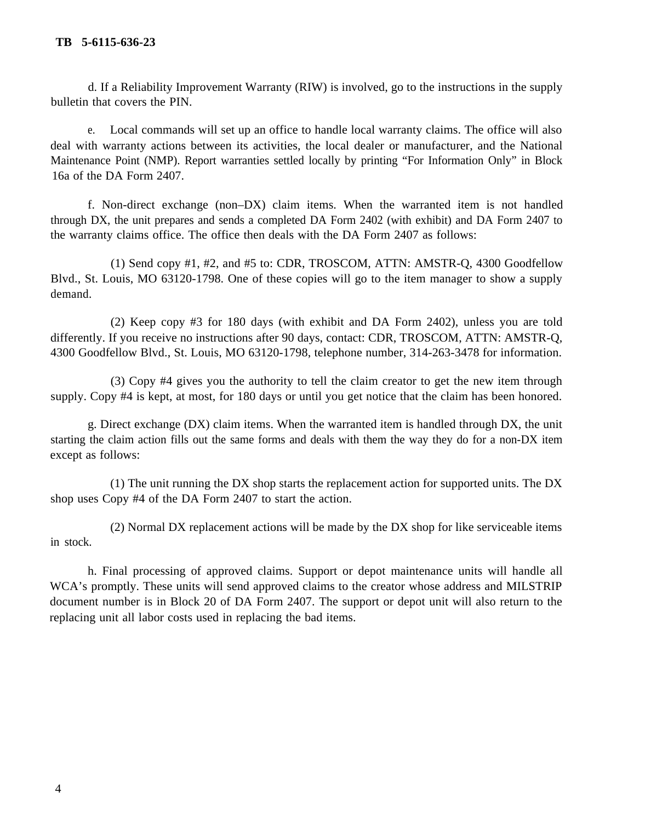d. If a Reliability Improvement Warranty (RIW) is involved, go to the instructions in the supply bulletin that covers the PIN.

e. Local commands will set up an office to handle local warranty claims. The office will also deal with warranty actions between its activities, the local dealer or manufacturer, and the National Maintenance Point (NMP). Report warranties settled locally by printing "For Information Only" in Block 16a of the DA Form 2407.

f. Non-direct exchange (non–DX) claim items. When the warranted item is not handled through DX, the unit prepares and sends a completed DA Form 2402 (with exhibit) and DA Form 2407 to the warranty claims office. The office then deals with the DA Form 2407 as follows:

(1) Send copy #1, #2, and #5 to: CDR, TROSCOM, ATTN: AMSTR-Q, 4300 Goodfellow Blvd., St. Louis, MO 63120-1798. One of these copies will go to the item manager to show a supply demand.

(2) Keep copy #3 for 180 days (with exhibit and DA Form 2402), unless you are told differently. If you receive no instructions after 90 days, contact: CDR, TROSCOM, ATTN: AMSTR-Q, 4300 Goodfellow Blvd., St. Louis, MO 63120-1798, telephone number, 314-263-3478 for information.

(3) Copy #4 gives you the authority to tell the claim creator to get the new item through supply. Copy #4 is kept, at most, for 180 days or until you get notice that the claim has been honored.

g. Direct exchange (DX) claim items. When the warranted item is handled through DX, the unit starting the claim action fills out the same forms and deals with them the way they do for a non-DX item except as follows:

(1) The unit running the DX shop starts the replacement action for supported units. The DX shop uses Copy #4 of the DA Form 2407 to start the action.

(2) Normal DX replacement actions will be made by the DX shop for like serviceable items in stock.

h. Final processing of approved claims. Support or depot maintenance units will handle all WCA's promptly. These units will send approved claims to the creator whose address and MILSTRIP document number is in Block 20 of DA Form 2407. The support or depot unit will also return to the replacing unit all labor costs used in replacing the bad items.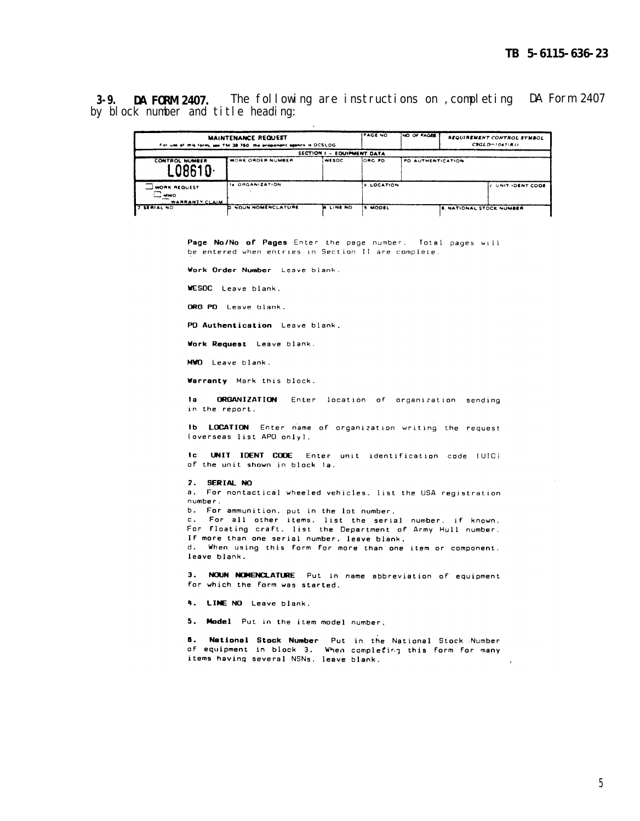3-9. DA FORM 2407. The following are instructions on, completing DA Form 2407 by block number and title heading:

| <b>PAGE NO</b><br><b>MAINTENANCE REQUEST</b><br>For use of this form, see TM 38 750, the proponent agency is DCSLDG. |                             |                            |                   | NO. OF PAGES      |                                 | REQUIREMENT CONTROL SYMBOL<br>$CSCLD = 0.47/R11$ |
|----------------------------------------------------------------------------------------------------------------------|-----------------------------|----------------------------|-------------------|-------------------|---------------------------------|--------------------------------------------------|
|                                                                                                                      |                             | SECTION I - EQUIPMENT DATA |                   |                   |                                 |                                                  |
| <b>CONTROL NUMBER</b><br>NRR1 N·                                                                                     | <b>WORK ORDER NUMBER</b>    | WESDC                      | long Po           | PO AUTHENTICATION |                                 |                                                  |
| <b>UNDRK REQUEST</b><br>—`wwo<br>WARRANTY CLAIM                                                                      | 18 ORGANIZATION             |                            | <b>6 LOCATION</b> |                   |                                 | <b>CUNIT IDENT CODE</b>                          |
| 2. SERIAL NO                                                                                                         | <b>B. NOUN NOMENCLATURE</b> | LINE NO                    | is MODEL          |                   | <b>6. NATIONAL STOCK NUMBER</b> |                                                  |

```
Page No/No of Pages Enter the page number. Total pages will
be entered when entries in Section II are complete.
```
Work Order Number Leave blank.

WESDC Leave blank.

ORG PD Leave blank.

PD Authentication Leave blank.

Work Request Leave blank.

MWO Leave blank.

Warranty Mark this block.

ORGANIZATION Enter location of organization sending  $1a$ in the report.

1b LOCATION Enter name of organization writing the request (overseas list APO only).

Ic UNIT IDENT CODE Enter unit identification code (UIC) of the unit shown in block la.

**2. SERIAL NO**<br>a. For nontactical wheeled vehicles. list the USA registration b. For ammunition, put in the lot number, c. For all other items. list the serial number, if known. For floating craft. list the Department of Army Hull number. If more than one serial number. leave blank. d. When using this form for more than one item or component. leave blank.

3. NOUN NOMENCLATURE Put in name abbreviation of equipment for which the form was started.

4. LINE NO Leave blank.

5. Model Put in the item model number.

**B. National Stock Number** Put in the National Stock Number of equipment in block 3. When completing this form for many items having several NSNs. leave blank.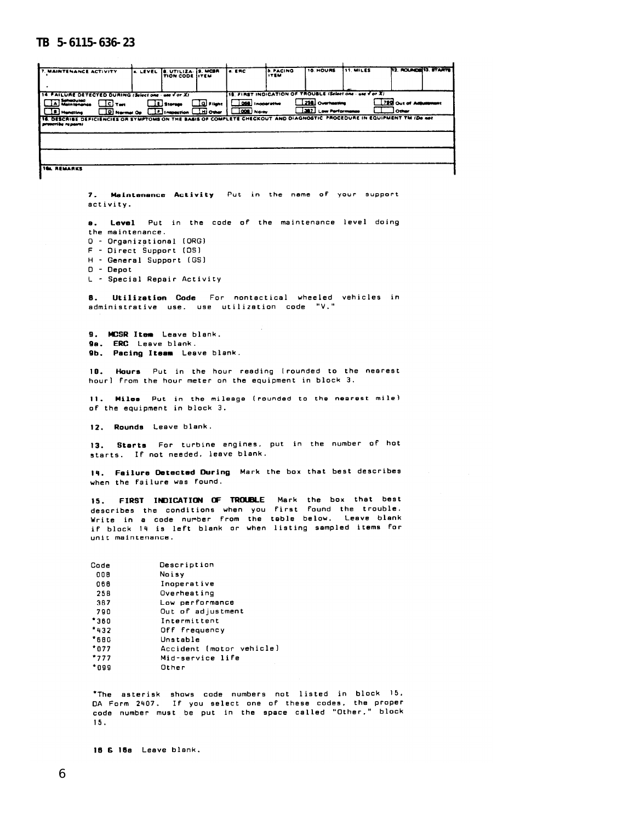#### TB 5-6115-636-23

| 7. MAINTENANCE ACTIVITY<br>$\bullet$                                                                                                            | L. LEVEL (B. UTILIZA- D. MCSR<br><b>TION CODE IITEM</b> |                  | e. ERC         | <b><i>b. PACING</i></b><br><b>ITEM</b> | <b>10. HOURS</b>    | <b>11. MILES</b>                                           | <b>12. ROUNDE 13. STARTS</b> |
|-------------------------------------------------------------------------------------------------------------------------------------------------|---------------------------------------------------------|------------------|----------------|----------------------------------------|---------------------|------------------------------------------------------------|------------------------------|
| 14. FAILURE DETECTED DURING (Select one - use for X)                                                                                            |                                                         |                  |                |                                        |                     | 18. FIRST INDICATION OF TROUBLE (Select one - use of or X) |                              |
| <b>Seheduled</b><br>$\overline{\text{G}}$ $\overline{\text{G}}$<br>Meintenance                                                                  | <b>LE</b> Stores                                        | <b>IGI FINAN</b> | 068 Incorrette |                                        | 258 Overheating     |                                                            | 290 Out of Adjust            |
| <b>ILE</b> Handling<br>D Normal Op                                                                                                              | <b>Financition</b> Little Other                         |                  | 008 Now        |                                        | 387 Low Parlormance |                                                            | Other                        |
| 16. DESCRIBE DEFICIENCIES OR SYMPTOMS ON THE BASIS OF COMPLETE CHECKOUT AND DIAGNOSTIC PROCEDURE IN EQUIPMENT TH (Do not<br>presentive repears) |                                                         |                  |                |                                        |                     |                                                            |                              |
|                                                                                                                                                 |                                                         |                  |                |                                        |                     |                                                            |                              |
|                                                                                                                                                 |                                                         |                  |                |                                        |                     |                                                            |                              |
| I'DE REMARKS                                                                                                                                    |                                                         |                  |                |                                        |                     |                                                            |                              |

activity. a. Level Put in the code of the maintenance level doing the maintenance. O - Organizational (ORG) F - Direct Support (DS) H - General Support (GS)  $D - De$ 

7. Maintenance Activity Put in the name of your support

L - Special Repair Activity

8. Utilization Code For nontactical wheeled vehicles in administrative use, use utilization code "V."

9. MCSR Item Leave blank. 9a. ERC Leave blank. 9b. Pacing Iteam Leave blank.

10. Hours Put in the hour reading (rounded to the nearest hour] from the hour meter on the equipment in block 3.

11. Miles Put in the mileage (rounded to the nearest mile) of the equipment in block 3.

12. Rounds Leave blank.

13. Starts For turbine engines, put in the number of hot starts. If not needed, leave blank.

14. Failure Detected During Mark the box that best describes when the failure was found.

15. FIRST INDICATION OF TROUBLE Mark the box that best describes the conditions when you first found the trouble.<br>Write in a code number from the table below. Leave blank if block 14 is left blank or when listing sampled items for unit maintenance.

| Code   | Description              |
|--------|--------------------------|
| 0 Q B  | Noisv                    |
| 068    | Inoperative              |
| 258    | Overheating              |
| 387    | Low performance          |
| 790    | Out of adjustment        |
| *360   | Intermittent             |
| $*432$ | Off frequency            |
| *680   | Unstable                 |
| * 077  | Accident (motor vehicle) |
| *777   | Mid-service life         |
| *099   | Other                    |

\*The asterisk shows code numbers not listed in block 15. DA Form 2407. If you select one of these codes, the proper code number must be put in the space called "Other." block 15.

18 & 16a Leave blank.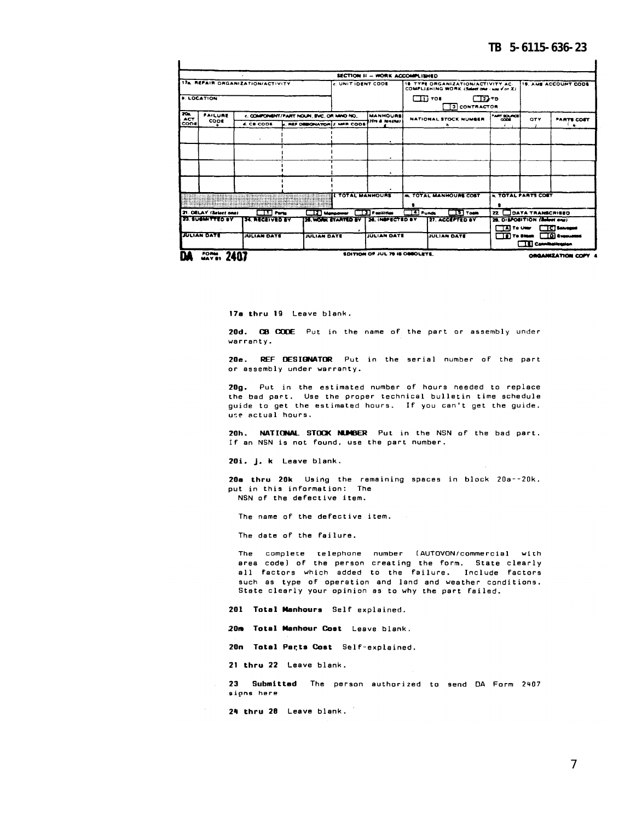$\blacksquare$ 

|                               |                          |                                   |                                                            |                            | SECTION II - WORK ACCOMPLISHED |                             |                                                                                   |                                          |                              |                              |
|-------------------------------|--------------------------|-----------------------------------|------------------------------------------------------------|----------------------------|--------------------------------|-----------------------------|-----------------------------------------------------------------------------------|------------------------------------------|------------------------------|------------------------------|
|                               |                          | 176. REPAIR ORGANIZATION/ACTIVITY |                                                            | <b>CUNITIDENT COOL</b>     |                                |                             | 18. TYPE ORGANIZATION/ACTIVITY AC-<br>COMPLISHING WORK (Select one - use of or X) |                                          |                              | <b>19. AMS ACCOUNT CODE</b>  |
| <b>I. LOCATION</b>            |                          |                                   |                                                            |                            |                                | $\Box$ $\Box$ $\Box$ $\Box$ | $\mathbf{E}$<br>3 CONTRACTOR                                                      |                                          |                              |                              |
| 20 <sub>n</sub><br><b>ACT</b> | <b>FAILURE</b>           |                                   | c. COMPONENT/PART NOUN, SVC. OR MMO NO.                    |                            | <b>MANHOURS</b>                |                             | NATIONAL STOCK NUMBER                                                             | <b>PART SOURCE</b><br><b>CODE</b>        | <b>OTY</b>                   | PARTS COST                   |
| <b>CODE</b>                   | <b>CODE</b>              | 4. CB CODE                        | <b><i>e, REF DEBONATOR 1, MFR CODE</i></b>                 |                            | (Hrs & Ienshe)                 |                             |                                                                                   |                                          |                              | ٠                            |
|                               |                          |                                   |                                                            |                            |                                |                             |                                                                                   |                                          |                              |                              |
|                               |                          |                                   |                                                            |                            |                                |                             |                                                                                   |                                          |                              |                              |
|                               |                          |                                   |                                                            |                            |                                |                             |                                                                                   |                                          |                              |                              |
|                               |                          |                                   |                                                            |                            |                                |                             |                                                                                   |                                          |                              |                              |
|                               |                          |                                   |                                                            |                            | ٠                              |                             |                                                                                   |                                          |                              |                              |
|                               |                          |                                   |                                                            |                            |                                |                             |                                                                                   |                                          |                              |                              |
|                               |                          |                                   |                                                            |                            |                                |                             |                                                                                   |                                          |                              |                              |
|                               |                          |                                   | <b>INNESSEE INTERNATIONAL SECTION IN THE REAL MANNOURS</b> |                            |                                |                             | <b>A. TOTAL MANHOURS COST</b>                                                     |                                          | <b>A TOTAL PARTS COST</b>    |                              |
|                               |                          |                                   |                                                            |                            |                                |                             |                                                                                   |                                          |                              |                              |
|                               | 21. DELAY (Select one)   | TU No                             |                                                            | <b>TZT</b> Manageway       | $\overline{13}$ Fuglilities    | <b>TAT Funds</b>            | $TT$ $T$ ook                                                                      | 22 <sub>1</sub>                          | <b>JOATA TRANSCRISSO</b>     |                              |
|                               | <b>23. SUGANTY CO BY</b> | <b>HEALCHVIOTY</b>                |                                                            | <b>28. WORK ETARTED BY</b> | 24. INSPECTED BY               |                             | 27. ACCEPTED BY                                                                   |                                          | 28. DISPOSITION (Select and) |                              |
|                               | <b>EJULIAN DAYE</b>      | <b>JULIAN DATÉ</b>                | <b>JULIAN DATE</b>                                         |                            | <b>JULIAN DATE</b>             |                             | <b>JULIAN DATE</b>                                                                | <b>TAT To Univ</b><br><b>TEITO BULLI</b> |                              | 1019abraad<br>i Di Evenuatat |
|                               |                          |                                   |                                                            |                            |                                |                             |                                                                                   |                                          | <b>TEI Cannibalizzaion</b>   |                              |
|                               | <b>FORM</b>              |                                   |                                                            |                            | EDITION OF JUL 78 IS OBBOLETS. |                             |                                                                                   |                                          |                              | <b>ORGANIZATION COPY</b>     |

17a thru 19 Leave blank.

20d. CB CODE Put in the name of the part or assembly under warranty.

20e. REF DESIGNATOR Put in the serial number of the part or assembly under warranty.

20g. Put in the estimated number of hours needed to replace the bad part. Use the proper technical bulletin time schedule guide to get the estimated hours. If you can't get the guide. use actual hours.

20h. NATIONAL STOCK NUMBER Put in the NSN of the bad part. If an NSN is not found, use the part number.

20i. j. k Leave blank.

20a thru 20k Using the remaining spaces in block 20a--20k.<br>put in this information: The NSN of the defective item.

The name of the defective item.

The date of the failure.

The complete telephone number (AUTOVON/commercial with<br>area code) of the person creating the form. State clearly all factors which added to the failure. Include factors such as type of operation and land and weather conditions. State clearly your opinion as to why the part failed.

201 Total Manhours Self explained.

20m Total Manhour Cost Leave blank.

20n Total Parts Cost Self-explained.

21 thru 22 Leave blank.

23 Submitted The person authorized to send DA Form 2407 signs here

24 thru 28 Leave blank.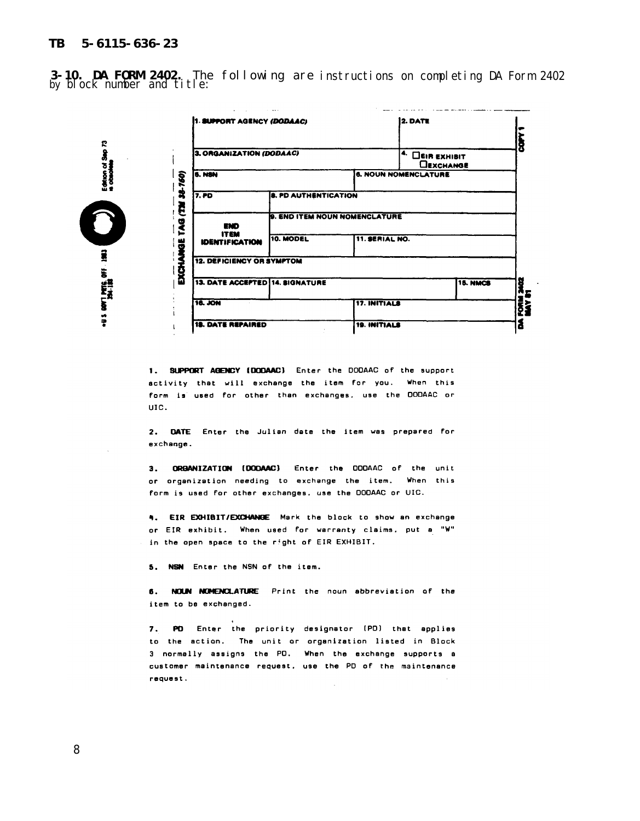**3-10. DA FORM 2402**. The following are instructions on completing DA Form 2402<br>by block number and title:

|                                                           | 1. SUPPORT AGENCY (DODAAC)                  |                             | 2. DATE                              |                                                             |
|-----------------------------------------------------------|---------------------------------------------|-----------------------------|--------------------------------------|-------------------------------------------------------------|
| 2<br>ē.<br>Edition of<br>is obsolute<br>38-760)<br>Ĕ<br>g | 3. ORGANIZATION (DODAAC)                    |                             |                                      | $\mathbf{f}^{\mathbf{4.}}$ Deir exhibit<br><b>CEXCHANGE</b> |
|                                                           | <b>5. NSN</b>                               |                             | <b>6. NOUN NOMENCLATURE</b>          |                                                             |
|                                                           | 7.70                                        | <b>8. PD AUTHENTICATION</b> |                                      |                                                             |
|                                                           | <b>END</b><br>Z                             |                             | <b>9. END ITEM NOUN NOMENCLATURE</b> |                                                             |
|                                                           | <b>ITEM</b><br>븽<br><b>IDENTIFICATION</b>   | 10. MODEL                   | 11. SERIAL NO.                       |                                                             |
|                                                           | 12. DEFICIENCY OR SYMPTOM                   |                             |                                      |                                                             |
|                                                           | <u>다</u><br>13. DATE ACCEPTED 14. SIGNATURE |                             |                                      | 15. NMCS                                                    |
| DOVT MEEL OF                                              | 16. JON                                     |                             | 17. INITIALS                         |                                                             |
| 7                                                         | <b>18. DATE REPAIRED</b>                    |                             | 19. INITIALS                         |                                                             |

1. SUPPORT AGENCY (DODAAC) Enter the DODAAC of the support activity that will exchange the item for you. When this form is used for other than exchanges, use the DODAAC or UIC.

2. DATE Enter the Julian date the item was prepared for exchange.

3. ORGANIZATION (DODAAC) Enter the DDDAAC of the unit or organization needing to exchange the item. When this form is used for other exchanges, use the DODAAC or UIC.

4. EIR EXHIBIT/EXCHANGE Mark the block to show an exchange or EIR exhibit. When used for warranty claims, put a "W" in the open space to the right of EIR EXHIBIT.

5. NSN Enter the NSN of the item.

6. NOUN NOMENCLATURE Print the noun abbreviation of the item to be exchanged.

7. PO Enter the priority designator (PO) that applies to the action. The unit or organization listed in Block 3 normally assigns the PD. When the exchange supports a customer maintenance request, use the PD of the maintenance request.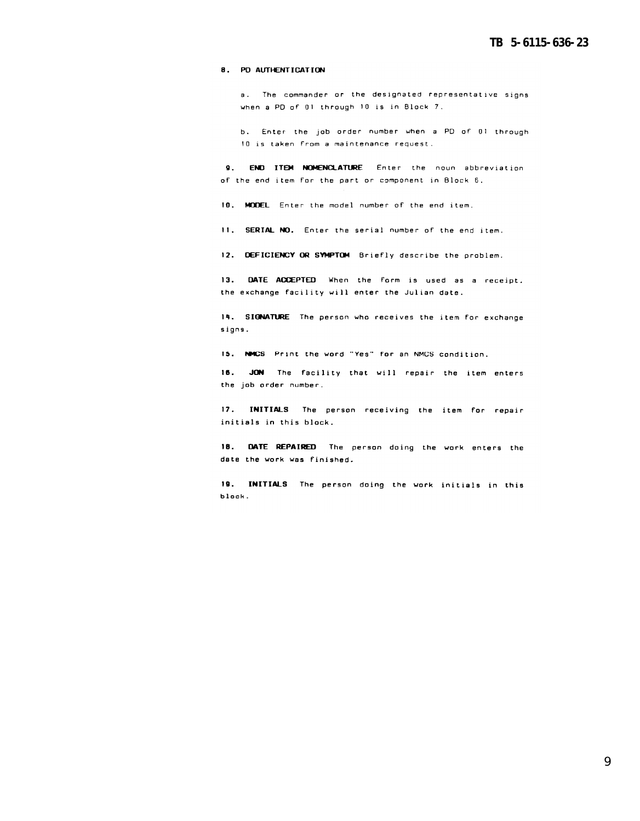#### 8. PD AUTHENTICATION

a. The commander or the designated representative signs when a PD of 01 through 10 is in Block 7.

b. Enter the job order number when a PD of 01 through 10 is taken from a maintenance request.

9. END ITEM NOMENCLATURE Enter the noun abbreviation of the end item for the part or component in Block 6.

10. MODEL Enter the model number of the end item.

11. SERIAL NO. Enter the serial number of the end item.

12. DEFICIENCY OR SYMPTOM Briefly describe the problem.

13. DATE ACCEPTED When the form is used as a receipt. the exchange facility will enter the Julian date.

14. SIGNATURE The person who receives the item for exchange signs.

15. NMCS Print the word "Yes" for an NMCS condition.

16. JON The facility that will repair the item enters the job order number.

17. INITIALS The person receiving the item for repair initials in this block.

18. DATE REPAIRED The person doing the work enters the date the work was finished.

19. INITIALS The person doing the work initials in this block.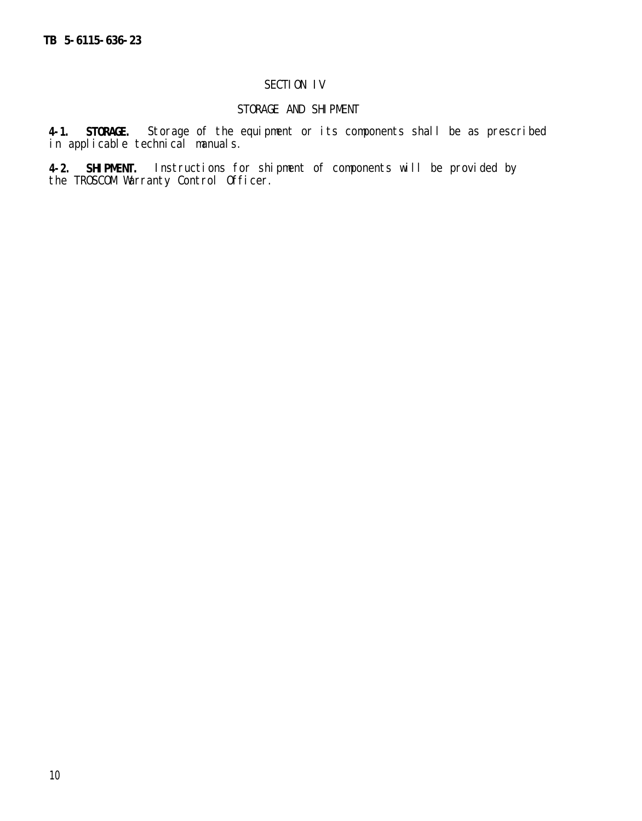### SECTION IV

### STORAGE AND SHIPMENT

**4-1. STORAGE.** Storage of the equipment or its components shall be as prescribed in applicable technical manuals.

**4-2. SHIPMENT.** Instructions for shipment of components will be provided by the TROSCOM Warranty Control Officer.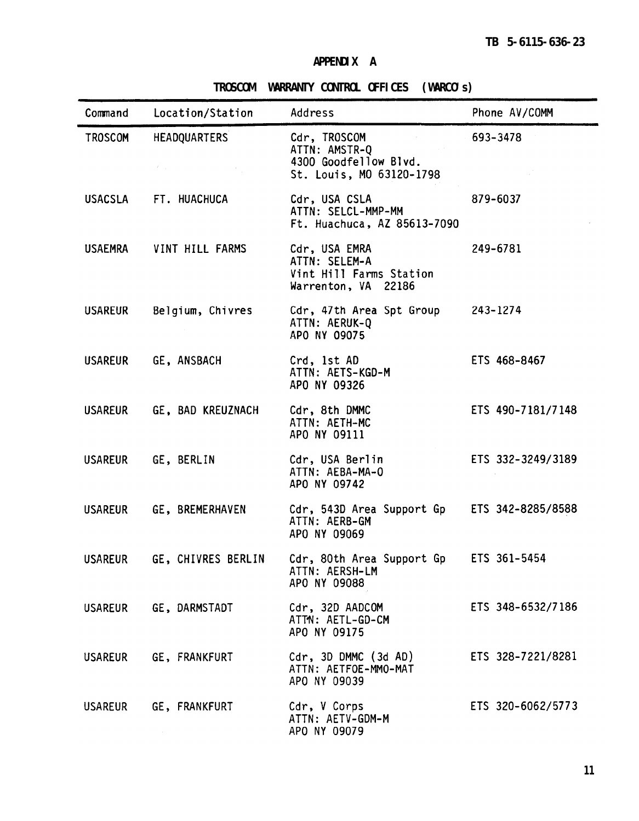# **APPENDIX A**

**TROSCOM WARRANTY CONTROL OFFICES (WARCO's)**

| Command        | Location/Station        | Address                                                                            | Phone AV/COMM     |
|----------------|-------------------------|------------------------------------------------------------------------------------|-------------------|
| TROSCOM        | <b>HEADQUARTERS</b>     | Cdr, TROSCOM<br>ATTN: AMSTR-Q<br>4300 Goodfellow Blvd.<br>St. Louis, MO 63120-1798 | 693-3478          |
|                | USACSLA FT. HUACHUCA    | Cdr, USA CSLA<br>ATTN: SELCL-MMP-MM<br>Ft. Huachuca, AZ 85613-7090                 | 879-6037          |
|                | USAEMRA VINT HILL FARMS | Cdr, USA EMRA<br>ATTN: SELEM-A<br>Vint Hill Farms Station<br>Warrenton, VA 22186   | 249-6781          |
| <b>USAREUR</b> | Belgium, Chivres        | Cdr, 47th Area Spt Group<br>ATTN: AERUK-Q<br>APO NY 09075                          | 243-1274          |
| <b>USAREUR</b> | GE, ANSBACH             | Crd, 1st AD<br>ATTN: AETS-KGD-M<br>APO NY 09326                                    | ETS 468-8467      |
| <b>USAREUR</b> | GE, BAD KREUZNACH       | Cdr, 8th DMMC<br>ATTN: AETH-MC<br>APO NY 09111                                     | ETS 490-7181/7148 |
| <b>USAREUR</b> | GE, BERLIN              | Cdr, USA Berlin<br>ATTN: AEBA-MA-0<br>APO NY 09742                                 | ETS 332-3249/3189 |
| <b>USAREUR</b> | GE, BREMERHAVEN         | Cdr, 543D Area Support Gp ETS 342-8285/8588<br>ATTN: AERB-GM<br>APO NY 09069       |                   |
| <b>USAREUR</b> | GE, CHIVRES BERLIN      | Cdr, 80th Area Support Gp<br>ATTN: AERSH-LM<br>APO NY 09088                        | ETS 361-5454      |
| USAREUR        | GE, DARMSTADT           | Cdr, 32D AADCOM<br>ATTN: AETL-GD-CM<br>APO NY 09175                                | ETS 348-6532/7186 |
| <b>USAREUR</b> | GE, FRANKFURT           | Cdr, 3D DMMC (3d AD)<br>ATTN: AETFOE-MMO-MAT<br>APO NY 09039                       | ETS 328-7221/8281 |
| <b>USAREUR</b> | GE, FRANKFURT           | Cdr, V Corps<br>ATTN: AETV-GDM-M<br>APO NY 09079                                   | ETS 320-6062/5773 |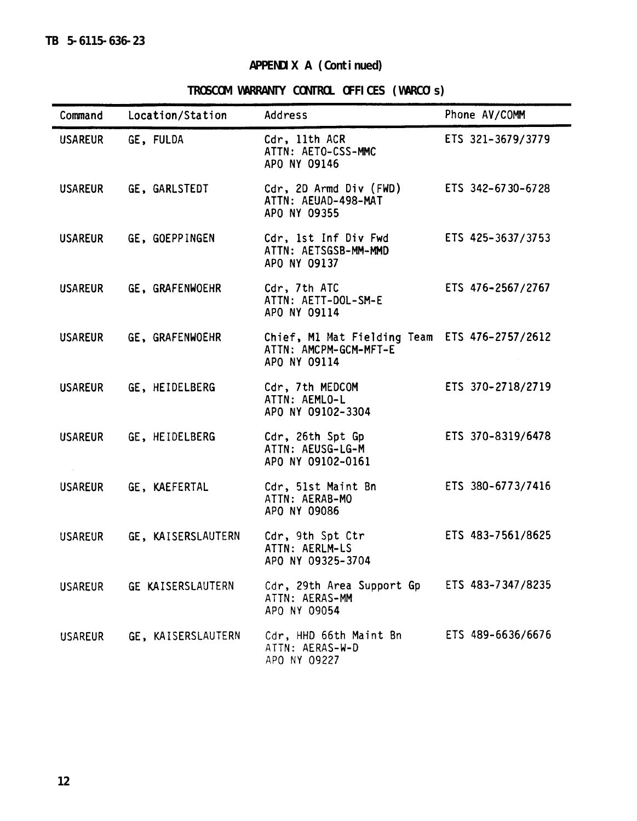# **APPENDIX A (Continued)**

**TROSCOM WARRANTY CONTROL OFFICES (WARCO's)**

| Command        | Location/Station         | Address                                                                                | Phone AV/COMM     |
|----------------|--------------------------|----------------------------------------------------------------------------------------|-------------------|
| <b>USAREUR</b> | GE, FULDA                | Cdr, 11th ACR<br>ATTN: AETO-CSS-MMC<br>APO NY 09146                                    | ETS 321-3679/3779 |
| <b>USAREUR</b> | GE, GARLSTEDT            | Cdr, 2D Armd Div (FWD)<br>ATTN: AEUAD-498-MAT<br>APO NY 09355                          | ETS 342-6730-6728 |
| <b>USAREUR</b> | GE, GOEPPINGEN           | Cdr, 1st Inf Div Fwd<br>ATTN: AETSGSB-MM-MMD<br>APO NY 09137                           | ETS 425-3637/3753 |
| <b>USAREUR</b> | GE, GRAFENWOEHR          | Cdr, 7th ATC<br>ATTN: AETT-DOL-SM-E<br>APO NY 09114                                    | ETS 476-2567/2767 |
| <b>USAREUR</b> | GE, GRAFENWOEHR          | Chief, M1 Mat Fielding Team ETS 476-2757/2612<br>ATTN: AMCPM-GCM-MFT-E<br>APO NY 09114 |                   |
| <b>USAREUR</b> | GE, HEIDELBERG           | Cdr, 7th MEDCOM<br>ATTN: AEMLO-L<br>APO NY 09102-3304                                  | ETS 370-2718/2719 |
| <b>USAREUR</b> | GE, HEIDELBERG           | Cdr, 26th Spt Gp<br>ATTN: AEUSG-LG-M<br>APO NY 09102-0161                              | ETS 370-8319/6478 |
| <b>USAREUR</b> | GE, KAEFERTAL            | Cdr, 51st Maint Bn<br>ATTN: AERAB-MO<br>APO NY 09086                                   | ETS 380-6773/7416 |
| <b>USAREUR</b> | GE, KAISERSLAUTERN       | Cdr, 9th Spt Ctr<br>ATTN: AERLM-LS<br>APO NY 09325-3704                                | ETS 483-7561/8625 |
| USAREUR        | <b>GE KAISERSLAUTERN</b> | Cdr, 29th Area Support Gp<br>ATTN: AERAS-MM<br>APO NY 09054                            | ETS 483-7347/8235 |
| <b>USAREUR</b> | GE, KAISERSLAUTERN       | Cdr, HHD 66th Maint Bn<br>ATTN: AERAS-W-D<br>APO NY 09227                              | ETS 489-6636/6676 |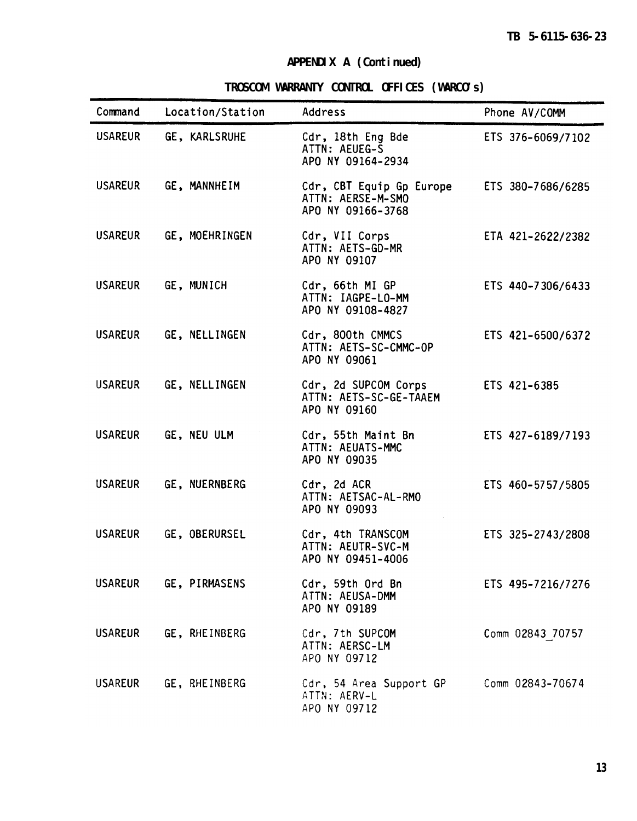# **APPENDIX A (Continued)**

**TROSCOM WARRANTY CONTROL OFFICES (WARCO's)**

| Command        | Location/Station | INUJUWI WANNANII UUNINUL UITTULJ (WANUU S)<br>Address              | Phone AV/COMM     |
|----------------|------------------|--------------------------------------------------------------------|-------------------|
| <b>USAREUR</b> | GE, KARLSRUHE    | Cdr, 18th Eng Bde<br>ATTN: AEUEG-S<br>APO NY 09164-2934            | ETS 376-6069/7102 |
| <b>USAREUR</b> | GE, MANNHEIM     | Cdr, CBT Equip Gp Europe<br>ATTN: AERSE-M-SMO<br>APO NY 09166-3768 | ETS 380-7686/6285 |
| <b>USAREUR</b> | GE, MOEHRINGEN   | Cdr, VII Corps<br>ATTN: AETS-GD-MR<br>APO NY 09107                 | ETA 421-2622/2382 |
| <b>USAREUR</b> | GE, MUNICH       | Cdr, 66th MI GP<br>ATTN: IAGPE-LO-MM<br>APO NY 09108-4827          | ETS 440-7306/6433 |
| <b>USAREUR</b> | GE, NELLINGEN    | Cdr, 800th CMMCS<br>ATTN: AETS-SC-CMMC-OP<br>APO NY 09061          | ETS 421-6500/6372 |
| <b>USAREUR</b> | GE, NELLINGEN    | Cdr, 2d SUPCOM Corps<br>ATTN: AETS-SC-GE-TAAEM<br>APO NY 09160     | ETS 421-6385      |
| <b>USAREUR</b> | GE, NEU ULM      | Cdr, 55th Maint Bn<br>ATTN: AEUATS-MMC<br>APO NY 09035             | ETS 427-6189/7193 |
| <b>USAREUR</b> | GE, NUERNBERG    | Cdr, 2d ACR<br>ATTN: AETSAC-AL-RMO<br>APO NY 09093                 | ETS 460-5757/5805 |
| <b>USAREUR</b> | GE, OBERURSEL    | Cdr, 4th TRANSCOM<br>ATTN: AEUTR-SVC-M<br>APO NY 09451-4006        | ETS 325-2743/2808 |
| <b>USAREUR</b> | GE, PIRMASENS    | Cdr, 59th Ord Bn<br>ATTN: AEUSA-DMM<br>APO NY 09189                | ETS 495-7216/7276 |
| <b>USAREUR</b> | GE, RHEINBERG    | Cdr, 7th SUPCOM<br>ATTN: AERSC-LM<br>APO NY 09712                  | Comm 02843 70757  |
| <b>USAREUR</b> | GE, RHEINBERG    | Cdr, 54 Area Support GP<br>ATTN: AERV-L<br>APO NY 09712            | Comm 02843-70674  |

**13**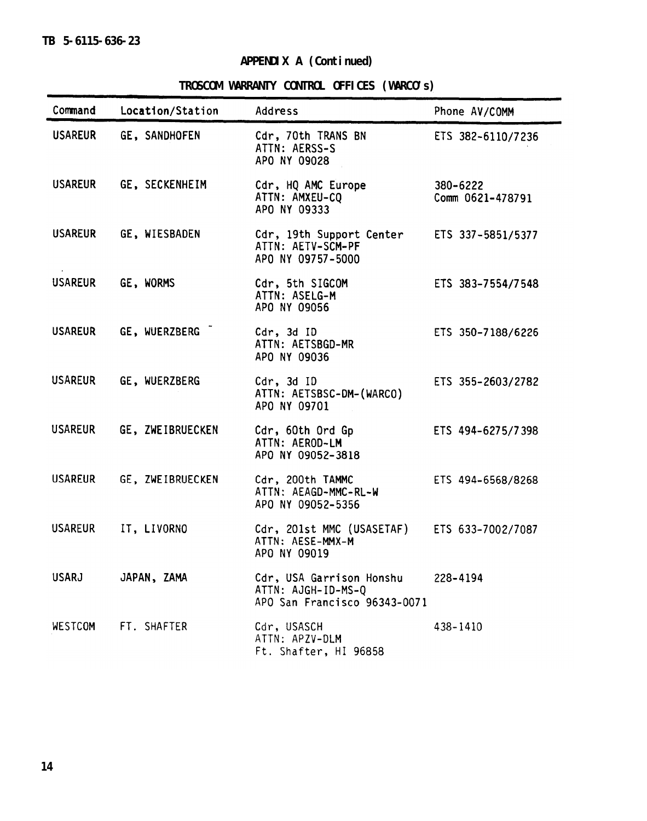**TB 5-6115-636-23**

# **APPENDIX A (Continued)**

**TROSCOM WARRANTY CONTROL OFFICES (WARCO's)**

| Command        | Location/Station | Address                                                                        | Phone AV/COMM                |
|----------------|------------------|--------------------------------------------------------------------------------|------------------------------|
| <b>USAREUR</b> | GE, SANDHOFEN    | Cdr, 70th TRANS BN<br>ATTN: AERSS-S<br>APO NY 09028                            | ETS 382-6110/7236            |
| <b>USAREUR</b> | GE, SECKENHEIM   | Cdr, HQ AMC Europe<br>ATTN: AMXEU-CQ<br>APO NY 09333                           | 380-6222<br>Comm 0621-478791 |
| <b>USAREUR</b> | GE, WIESBADEN    | Cdr, 19th Support Center<br>ATTN: AETV-SCM-PF<br>APO NY 09757-5000             | ETS 337-5851/5377            |
| <b>USAREUR</b> | GE, WORMS        | Cdr, 5th SIGCOM<br>ATTN: ASELG-M<br>APO NY 09056                               | ETS 383-7554/7548            |
| <b>USAREUR</b> | GE, WUERZBERG    | Cdr, 3d ID<br>ATTN: AETSBGD-MR<br>APO NY 09036                                 | ETS 350-7188/6226            |
| <b>USAREUR</b> | GE, WUERZBERG    | $Cdr$ , 3d ID<br>ATTN: AETSBSC-DM-(WARCO)<br>APO NY 09701                      | ETS 355-2603/2782            |
| <b>USAREUR</b> | GE, ZWEIBRUECKEN | Cdr, 60th Ord Gp<br>ATTN: AEROD-LM<br>APO NY 09052-3818                        | ETS 494-6275/7398            |
| <b>USAREUR</b> | GE, ZWEIBRUECKEN | Cdr, 200th TAMMC<br>ATTN: AEAGD-MMC-RL-W<br>APO NY 09052-5356                  | ETS 494-6568/8268            |
| <b>USAREUR</b> | IT, LIVORNO      | Cdr, 201st MMC (USASETAF)<br>ATTN: AESE-MMX-M<br>APO NY 09019                  | ETS 633-7002/7087            |
| <b>USARJ</b>   | JAPAN, ZAMA      | Cdr, USA Garrison Honshu<br>ATTN: AJGH-ID-MS-Q<br>APO San Francisco 96343-0071 | 228-4194                     |
| WESTCOM        | FT. SHAFTER      | Cdr, USASCH<br>ATTN: APZV-DLM<br>Ft. Shafter, HI 96858                         | 438-1410                     |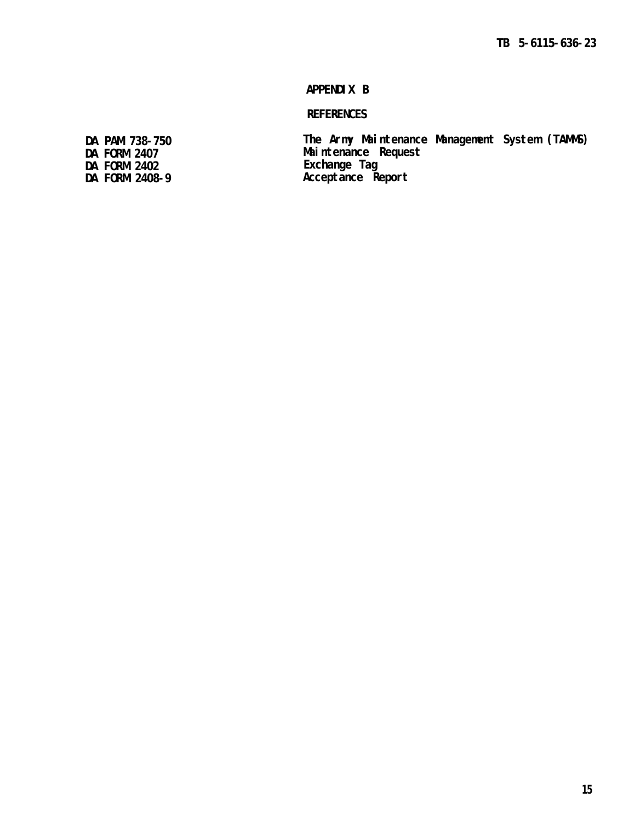### **APPENDIX B**

### **REFERENCES**

**DA FORM 2402<br>
DA FORM 2408-9** 

**DA PAM 738-750 The Army Maintenance Management System (TAMMS) DA FORM 2407 Maintenance Request DA FORM 2408-9 Acceptance Report**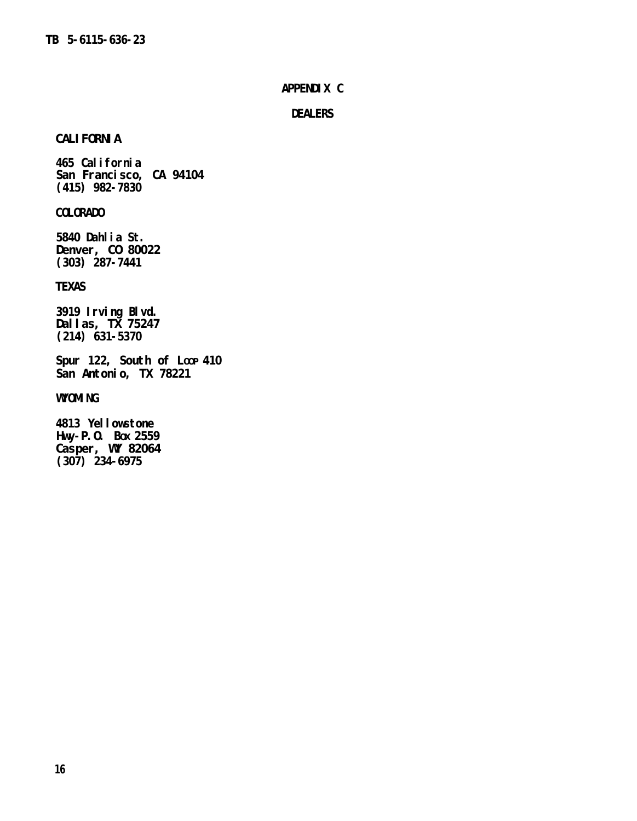#### **APPENDIX C**

#### **DEALERS**

#### **CALIFORNIA**

**465 California San Francisco, CA 94104 (415) 982-7830**

#### **COLORADO**

**5840 Dahlia St. Denver, CO 80022 (303) 287-7441**

#### **TEXAS**

**3919 Irving Blvd. Dallas, TX 75247 (214) 631-5370**

**Spur 122, South of LOOP 410 San Antonio, TX 78221**

WYOMI<sub>NG</sub>

**4813 Yellowstone Hwy-P.O. BOX 2559 Casper, WY 82064 (307) 234-6975**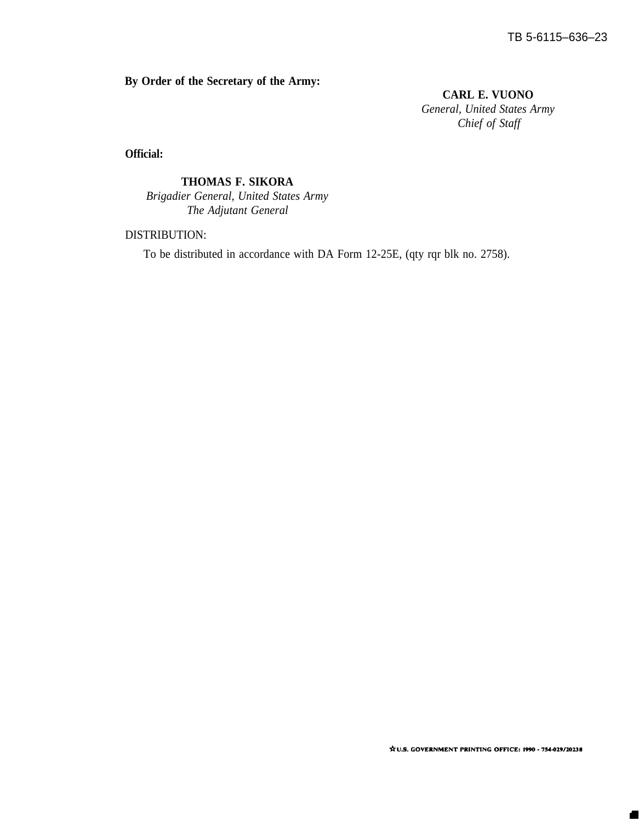### **By Order of the Secretary of the Army:**

**CARL E. VUONO** *General, United States Army Chief of Staff*

**Official:**

#### **THOMAS F. SIKORA**

*Brigadier General, United States Army The Adjutant General*

#### DISTRIBUTION:

To be distributed in accordance with DA Form 12-25E, (qty rqr blk no. 2758).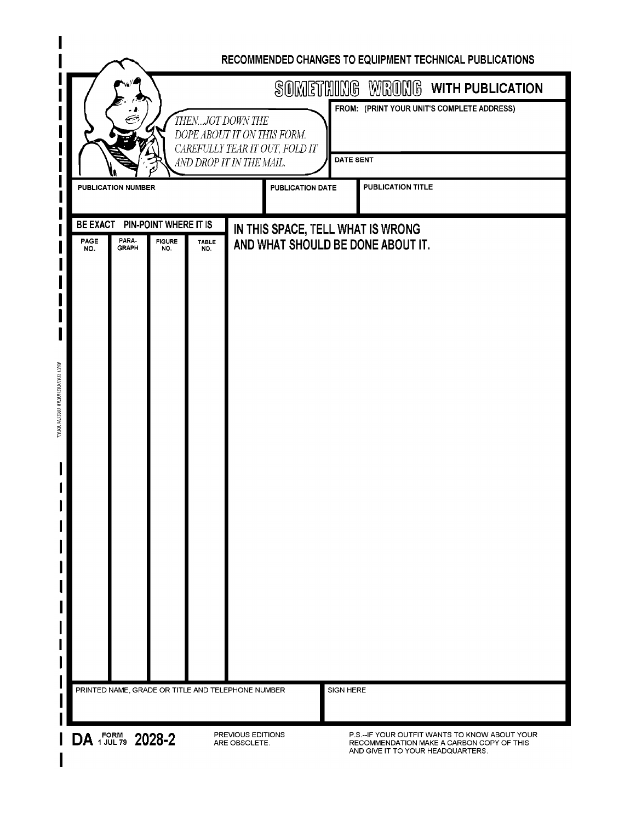|                                                                                                                 | RECOMMENDED CHANGES TO EQUIPMENT TECHNICAL PUBLICATIONS<br>SOMETHING WRONG<br><b>WITH PUBLICATION</b><br>FROM: (PRINT YOUR UNIT'S COMPLETE ADDRESS)<br>THENJOT DOWN THE<br>DOPE ABOUT IT ON THIS FORM.<br>CAREFULLY TEAR IT OUT, FOLD IT<br><b>DATE SENT</b><br>AND DROP IT IN THE MAIL. |
|-----------------------------------------------------------------------------------------------------------------|------------------------------------------------------------------------------------------------------------------------------------------------------------------------------------------------------------------------------------------------------------------------------------------|
| <b>PUBLICATION NUMBER</b>                                                                                       | PUBLICATION TITLE<br><b>PUBLICATION DATE</b>                                                                                                                                                                                                                                             |
| PIN-POINT WHERE IT IS<br><b>BE EXACT</b><br>PAGE<br>PARA-<br><b>FIGURE</b><br><b>GRAPH</b><br>NO.<br>NO.<br>NO. | IN THIS SPACE, TELL WHAT IS WRONG<br><b>TABLE</b><br>AND WHAT SHOULD BE DONE ABOUT IT.                                                                                                                                                                                                   |
| PRINTED NAME, GRADE OR TITLE AND TELEPHONE NUMBER                                                               | SIGN HERE                                                                                                                                                                                                                                                                                |
| DA FORM 2028-2                                                                                                  | PREVIOUS EDITIONS<br>P.S.--IF YOUR OUTFIT WANTS TO KNOW ABOUT YOUR<br>ARE OBSOLETE.<br>RECOMMENDATION MAKE A CARBON COPY OF THIS<br>AND GIVE IT TO YOUR HEADQUARTERS.                                                                                                                    |